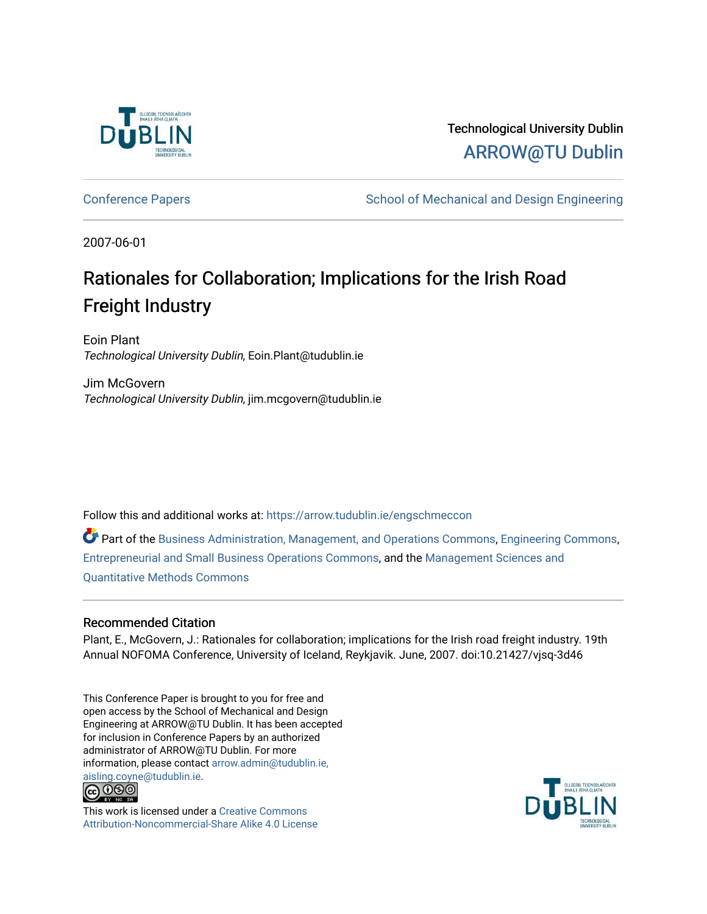

Technological University Dublin [ARROW@TU Dublin](https://arrow.tudublin.ie/) 

[Conference Papers](https://arrow.tudublin.ie/engschmeccon) **School of Mechanical and Design Engineering** School of Mechanical and Design Engineering

2007-06-01

## Rationales for Collaboration; Implications for the Irish Road Freight Industry

Eoin Plant Technological University Dublin, Eoin.Plant@tudublin.ie

Jim McGovern Technological University Dublin, jim.mcgovern@tudublin.ie

Follow this and additional works at: [https://arrow.tudublin.ie/engschmeccon](https://arrow.tudublin.ie/engschmeccon?utm_source=arrow.tudublin.ie%2Fengschmeccon%2F8&utm_medium=PDF&utm_campaign=PDFCoverPages) 

Part of the [Business Administration, Management, and Operations Commons](http://network.bepress.com/hgg/discipline/623?utm_source=arrow.tudublin.ie%2Fengschmeccon%2F8&utm_medium=PDF&utm_campaign=PDFCoverPages), [Engineering Commons,](http://network.bepress.com/hgg/discipline/217?utm_source=arrow.tudublin.ie%2Fengschmeccon%2F8&utm_medium=PDF&utm_campaign=PDFCoverPages) [Entrepreneurial and Small Business Operations Commons](http://network.bepress.com/hgg/discipline/630?utm_source=arrow.tudublin.ie%2Fengschmeccon%2F8&utm_medium=PDF&utm_campaign=PDFCoverPages), and the [Management Sciences and](http://network.bepress.com/hgg/discipline/637?utm_source=arrow.tudublin.ie%2Fengschmeccon%2F8&utm_medium=PDF&utm_campaign=PDFCoverPages)  [Quantitative Methods Commons](http://network.bepress.com/hgg/discipline/637?utm_source=arrow.tudublin.ie%2Fengschmeccon%2F8&utm_medium=PDF&utm_campaign=PDFCoverPages) 

#### Recommended Citation

Plant, E., McGovern, J.: Rationales for collaboration; implications for the Irish road freight industry. 19th Annual NOFOMA Conference, University of Iceland, Reykjavik. June, 2007. doi:10.21427/vjsq-3d46

This Conference Paper is brought to you for free and open access by the School of Mechanical and Design Engineering at ARROW@TU Dublin. It has been accepted for inclusion in Conference Papers by an authorized administrator of ARROW@TU Dublin. For more information, please contact [arrow.admin@tudublin.ie,](mailto:arrow.admin@tudublin.ie,%20aisling.coyne@tudublin.ie)  [aisling.coyne@tudublin.ie.](mailto:arrow.admin@tudublin.ie,%20aisling.coyne@tudublin.ie)<br>© 090



This work is licensed under a [Creative Commons](http://creativecommons.org/licenses/by-nc-sa/4.0/) [Attribution-Noncommercial-Share Alike 4.0 License](http://creativecommons.org/licenses/by-nc-sa/4.0/)

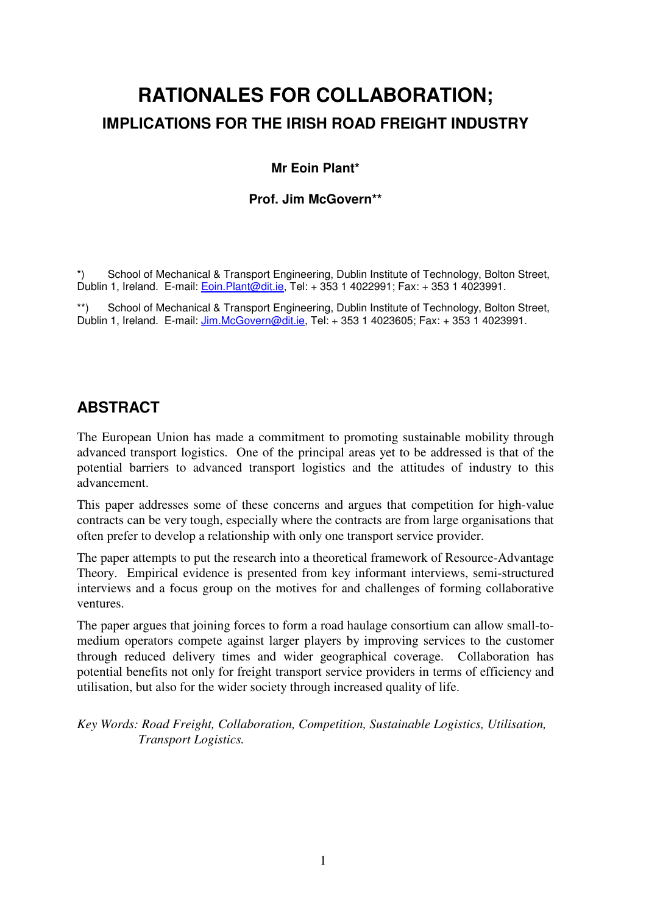# **RATIONALES FOR COLLABORATION; IMPLICATIONS FOR THE IRISH ROAD FREIGHT INDUSTRY**

#### **Mr Eoin Plant\***

#### **Prof. Jim McGovern\*\***

School of Mechanical & Transport Engineering, Dublin Institute of Technology, Bolton Street, Dublin 1, Ireland. E-mail: Eoin.Plant@dit.ie, Tel: + 353 1 4022991; Fax: + 353 1 4023991.

School of Mechanical & Transport Engineering, Dublin Institute of Technology, Bolton Street, Dublin 1, Ireland. E-mail: Jim.McGovern@dit.ie, Tel: + 353 1 4023605; Fax: + 353 1 4023991.

### **ABSTRACT**

The European Union has made a commitment to promoting sustainable mobility through advanced transport logistics. One of the principal areas yet to be addressed is that of the potential barriers to advanced transport logistics and the attitudes of industry to this advancement.

This paper addresses some of these concerns and argues that competition for high-value contracts can be very tough, especially where the contracts are from large organisations that often prefer to develop a relationship with only one transport service provider.

The paper attempts to put the research into a theoretical framework of Resource-Advantage Theory. Empirical evidence is presented from key informant interviews, semi-structured interviews and a focus group on the motives for and challenges of forming collaborative ventures.

The paper argues that joining forces to form a road haulage consortium can allow small-tomedium operators compete against larger players by improving services to the customer through reduced delivery times and wider geographical coverage. Collaboration has potential benefits not only for freight transport service providers in terms of efficiency and utilisation, but also for the wider society through increased quality of life.

*Key Words: Road Freight, Collaboration, Competition, Sustainable Logistics, Utilisation, Transport Logistics.*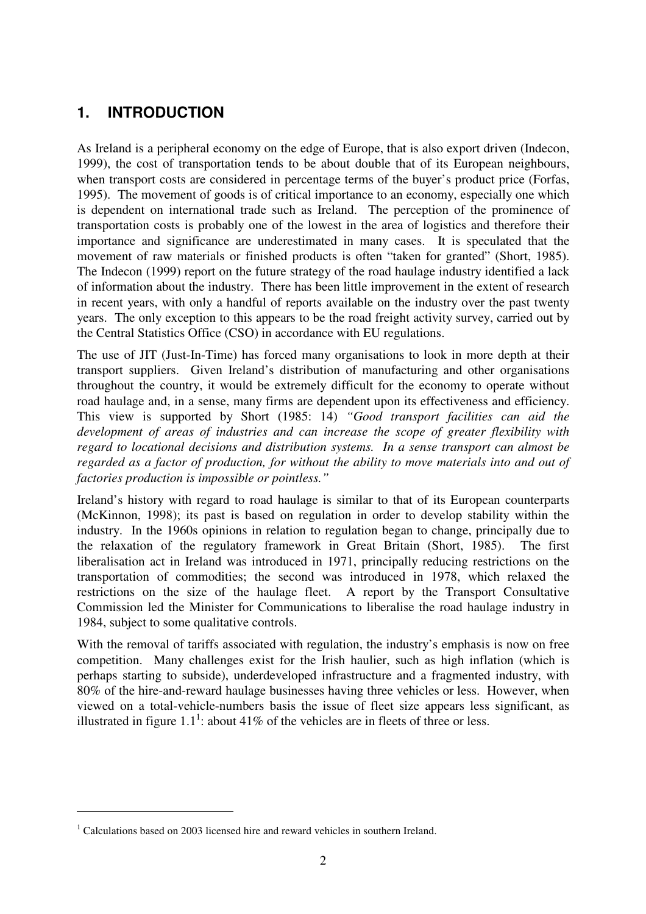### **1. INTRODUCTION**

As Ireland is a peripheral economy on the edge of Europe, that is also export driven (Indecon, 1999), the cost of transportation tends to be about double that of its European neighbours, when transport costs are considered in percentage terms of the buyer's product price (Forfas, 1995). The movement of goods is of critical importance to an economy, especially one which is dependent on international trade such as Ireland. The perception of the prominence of transportation costs is probably one of the lowest in the area of logistics and therefore their importance and significance are underestimated in many cases. It is speculated that the movement of raw materials or finished products is often "taken for granted" (Short, 1985). The Indecon (1999) report on the future strategy of the road haulage industry identified a lack of information about the industry. There has been little improvement in the extent of research in recent years, with only a handful of reports available on the industry over the past twenty years. The only exception to this appears to be the road freight activity survey, carried out by the Central Statistics Office (CSO) in accordance with EU regulations.

The use of JIT (Just-In-Time) has forced many organisations to look in more depth at their transport suppliers. Given Ireland's distribution of manufacturing and other organisations throughout the country, it would be extremely difficult for the economy to operate without road haulage and, in a sense, many firms are dependent upon its effectiveness and efficiency. This view is supported by Short (1985: 14) *"Good transport facilities can aid the development of areas of industries and can increase the scope of greater flexibility with regard to locational decisions and distribution systems. In a sense transport can almost be regarded as a factor of production, for without the ability to move materials into and out of factories production is impossible or pointless."*

Ireland's history with regard to road haulage is similar to that of its European counterparts (McKinnon, 1998); its past is based on regulation in order to develop stability within the industry. In the 1960s opinions in relation to regulation began to change, principally due to the relaxation of the regulatory framework in Great Britain (Short, 1985). The first liberalisation act in Ireland was introduced in 1971, principally reducing restrictions on the transportation of commodities; the second was introduced in 1978, which relaxed the restrictions on the size of the haulage fleet. A report by the Transport Consultative Commission led the Minister for Communications to liberalise the road haulage industry in 1984, subject to some qualitative controls.

With the removal of tariffs associated with regulation, the industry's emphasis is now on free competition. Many challenges exist for the Irish haulier, such as high inflation (which is perhaps starting to subside), underdeveloped infrastructure and a fragmented industry, with 80% of the hire-and-reward haulage businesses having three vehicles or less. However, when viewed on a total-vehicle-numbers basis the issue of fleet size appears less significant, as illustrated in figure 1.1<sup>1</sup>: about 41% of the vehicles are in fleets of three or less.

 $1$  Calculations based on 2003 licensed hire and reward vehicles in southern Ireland.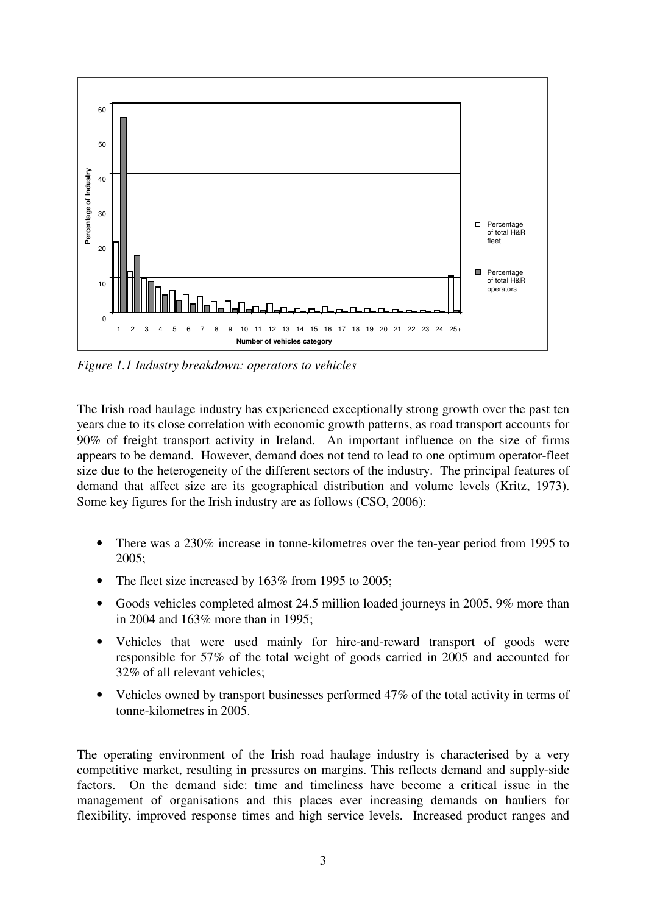

*Figure 1.1 Industry breakdown: operators to vehicles*

The Irish road haulage industry has experienced exceptionally strong growth over the past ten years due to its close correlation with economic growth patterns, as road transport accounts for 90% of freight transport activity in Ireland. An important influence on the size of firms appears to be demand. However, demand does not tend to lead to one optimum operator-fleet size due to the heterogeneity of the different sectors of the industry. The principal features of demand that affect size are its geographical distribution and volume levels (Kritz, 1973). Some key figures for the Irish industry are as follows (CSO, 2006):

- There was a 230% increase in tonne-kilometres over the ten-year period from 1995 to 2005;
- The fleet size increased by 163% from 1995 to 2005;
- Goods vehicles completed almost 24.5 million loaded journeys in 2005, 9% more than in 2004 and 163% more than in 1995;
- Vehicles that were used mainly for hire-and-reward transport of goods were responsible for 57% of the total weight of goods carried in 2005 and accounted for 32% of all relevant vehicles;
- Vehicles owned by transport businesses performed 47% of the total activity in terms of tonne-kilometres in 2005.

The operating environment of the Irish road haulage industry is characterised by a very competitive market, resulting in pressures on margins. This reflects demand and supply-side factors. On the demand side: time and timeliness have become a critical issue in the management of organisations and this places ever increasing demands on hauliers for flexibility, improved response times and high service levels. Increased product ranges and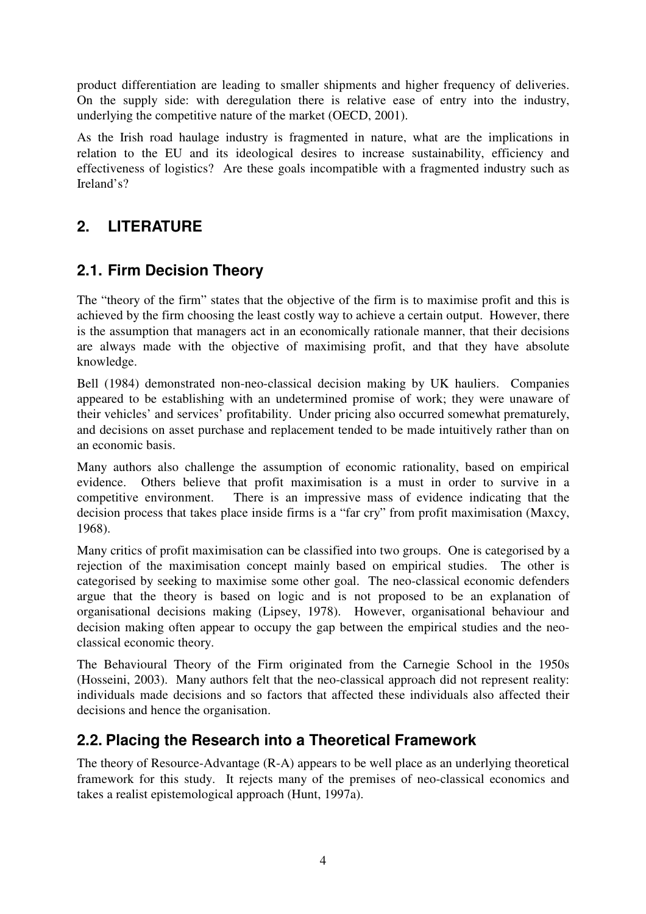product differentiation are leading to smaller shipments and higher frequency of deliveries. On the supply side: with deregulation there is relative ease of entry into the industry, underlying the competitive nature of the market (OECD, 2001).

As the Irish road haulage industry is fragmented in nature, what are the implications in relation to the EU and its ideological desires to increase sustainability, efficiency and effectiveness of logistics? Are these goals incompatible with a fragmented industry such as Ireland's?

### **2. LITERATURE**

### **2.1. Firm Decision Theory**

The "theory of the firm" states that the objective of the firm is to maximise profit and this is achieved by the firm choosing the least costly way to achieve a certain output. However, there is the assumption that managers act in an economically rationale manner, that their decisions are always made with the objective of maximising profit, and that they have absolute knowledge.

Bell (1984) demonstrated non-neo-classical decision making by UK hauliers. Companies appeared to be establishing with an undetermined promise of work; they were unaware of their vehicles' and services' profitability. Under pricing also occurred somewhat prematurely, and decisions on asset purchase and replacement tended to be made intuitively rather than on an economic basis.

Many authors also challenge the assumption of economic rationality, based on empirical evidence. Others believe that profit maximisation is a must in order to survive in a competitive environment. There is an impressive mass of evidence indicating that the decision process that takes place inside firms is a "far cry" from profit maximisation (Maxcy, 1968).

Many critics of profit maximisation can be classified into two groups. One is categorised by a rejection of the maximisation concept mainly based on empirical studies. The other is categorised by seeking to maximise some other goal. The neo-classical economic defenders argue that the theory is based on logic and is not proposed to be an explanation of organisational decisions making (Lipsey, 1978). However, organisational behaviour and decision making often appear to occupy the gap between the empirical studies and the neoclassical economic theory.

The Behavioural Theory of the Firm originated from the Carnegie School in the 1950s (Hosseini, 2003). Many authors felt that the neo-classical approach did not represent reality: individuals made decisions and so factors that affected these individuals also affected their decisions and hence the organisation.

### **2.2. Placing the Research into a Theoretical Framework**

The theory of Resource-Advantage (R-A) appears to be well place as an underlying theoretical framework for this study. It rejects many of the premises of neo-classical economics and takes a realist epistemological approach (Hunt, 1997a).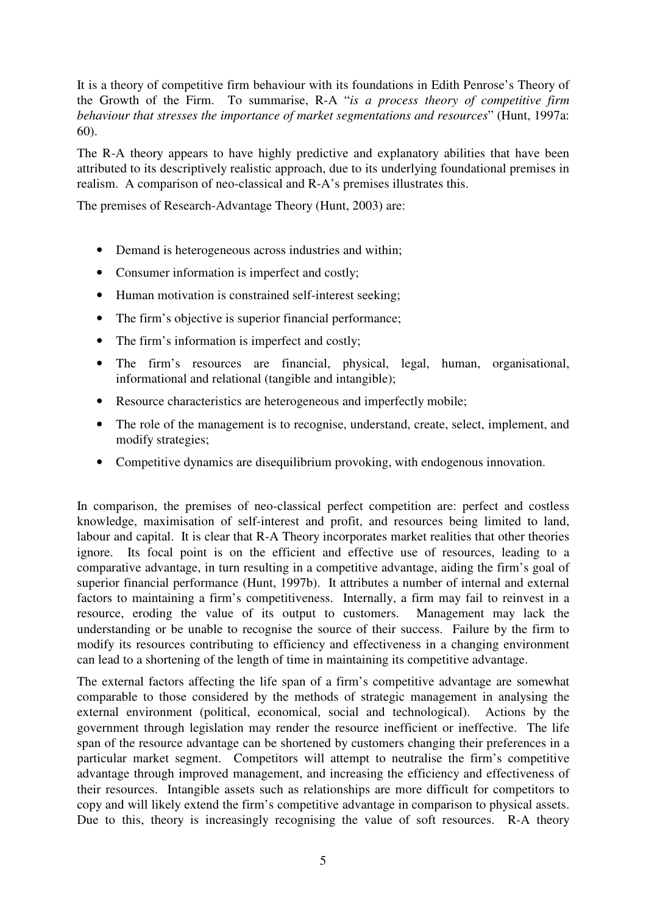It is a theory of competitive firm behaviour with its foundations in Edith Penrose's Theory of the Growth of the Firm. To summarise, R-A "*is a process theory of competitive firm behaviour that stresses the importance of market segmentations and resources*" (Hunt, 1997a: 60).

The R-A theory appears to have highly predictive and explanatory abilities that have been attributed to its descriptively realistic approach, due to its underlying foundational premises in realism. A comparison of neo-classical and R-A's premises illustrates this.

The premises of Research-Advantage Theory (Hunt, 2003) are:

- Demand is heterogeneous across industries and within;
- Consumer information is imperfect and costly;
- Human motivation is constrained self-interest seeking;
- The firm's objective is superior financial performance;
- The firm's information is imperfect and costly;
- The firm's resources are financial, physical, legal, human, organisational, informational and relational (tangible and intangible);
- Resource characteristics are heterogeneous and imperfectly mobile;
- The role of the management is to recognise, understand, create, select, implement, and modify strategies;
- Competitive dynamics are disequilibrium provoking, with endogenous innovation.

In comparison, the premises of neo-classical perfect competition are: perfect and costless knowledge, maximisation of self-interest and profit, and resources being limited to land, labour and capital. It is clear that R-A Theory incorporates market realities that other theories ignore. Its focal point is on the efficient and effective use of resources, leading to a comparative advantage, in turn resulting in a competitive advantage, aiding the firm's goal of superior financial performance (Hunt, 1997b). It attributes a number of internal and external factors to maintaining a firm's competitiveness. Internally, a firm may fail to reinvest in a resource, eroding the value of its output to customers. Management may lack the understanding or be unable to recognise the source of their success. Failure by the firm to modify its resources contributing to efficiency and effectiveness in a changing environment can lead to a shortening of the length of time in maintaining its competitive advantage.

The external factors affecting the life span of a firm's competitive advantage are somewhat comparable to those considered by the methods of strategic management in analysing the external environment (political, economical, social and technological). Actions by the government through legislation may render the resource inefficient or ineffective. The life span of the resource advantage can be shortened by customers changing their preferences in a particular market segment. Competitors will attempt to neutralise the firm's competitive advantage through improved management, and increasing the efficiency and effectiveness of their resources. Intangible assets such as relationships are more difficult for competitors to copy and will likely extend the firm's competitive advantage in comparison to physical assets. Due to this, theory is increasingly recognising the value of soft resources. R-A theory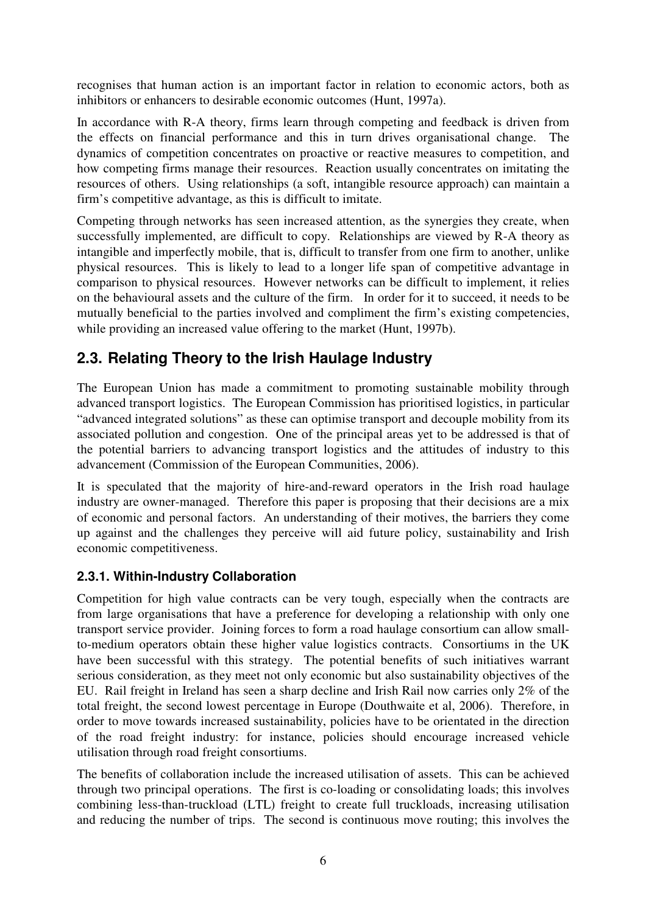recognises that human action is an important factor in relation to economic actors, both as inhibitors or enhancers to desirable economic outcomes (Hunt, 1997a).

In accordance with R-A theory, firms learn through competing and feedback is driven from the effects on financial performance and this in turn drives organisational change. The dynamics of competition concentrates on proactive or reactive measures to competition, and how competing firms manage their resources. Reaction usually concentrates on imitating the resources of others. Using relationships (a soft, intangible resource approach) can maintain a firm's competitive advantage, as this is difficult to imitate.

Competing through networks has seen increased attention, as the synergies they create, when successfully implemented, are difficult to copy. Relationships are viewed by R-A theory as intangible and imperfectly mobile, that is, difficult to transfer from one firm to another, unlike physical resources. This is likely to lead to a longer life span of competitive advantage in comparison to physical resources. However networks can be difficult to implement, it relies on the behavioural assets and the culture of the firm. In order for it to succeed, it needs to be mutually beneficial to the parties involved and compliment the firm's existing competencies, while providing an increased value offering to the market (Hunt, 1997b).

### **2.3. Relating Theory to the Irish Haulage Industry**

The European Union has made a commitment to promoting sustainable mobility through advanced transport logistics. The European Commission has prioritised logistics, in particular "advanced integrated solutions" as these can optimise transport and decouple mobility from its associated pollution and congestion. One of the principal areas yet to be addressed is that of the potential barriers to advancing transport logistics and the attitudes of industry to this advancement (Commission of the European Communities, 2006).

It is speculated that the majority of hire-and-reward operators in the Irish road haulage industry are owner-managed. Therefore this paper is proposing that their decisions are a mix of economic and personal factors. An understanding of their motives, the barriers they come up against and the challenges they perceive will aid future policy, sustainability and Irish economic competitiveness.

### **2.3.1. Within-Industry Collaboration**

Competition for high value contracts can be very tough, especially when the contracts are from large organisations that have a preference for developing a relationship with only one transport service provider. Joining forces to form a road haulage consortium can allow smallto-medium operators obtain these higher value logistics contracts. Consortiums in the UK have been successful with this strategy. The potential benefits of such initiatives warrant serious consideration, as they meet not only economic but also sustainability objectives of the EU. Rail freight in Ireland has seen a sharp decline and Irish Rail now carries only 2% of the total freight, the second lowest percentage in Europe (Douthwaite et al, 2006). Therefore, in order to move towards increased sustainability, policies have to be orientated in the direction of the road freight industry: for instance, policies should encourage increased vehicle utilisation through road freight consortiums.

The benefits of collaboration include the increased utilisation of assets. This can be achieved through two principal operations. The first is co-loading or consolidating loads; this involves combining less-than-truckload (LTL) freight to create full truckloads, increasing utilisation and reducing the number of trips. The second is continuous move routing; this involves the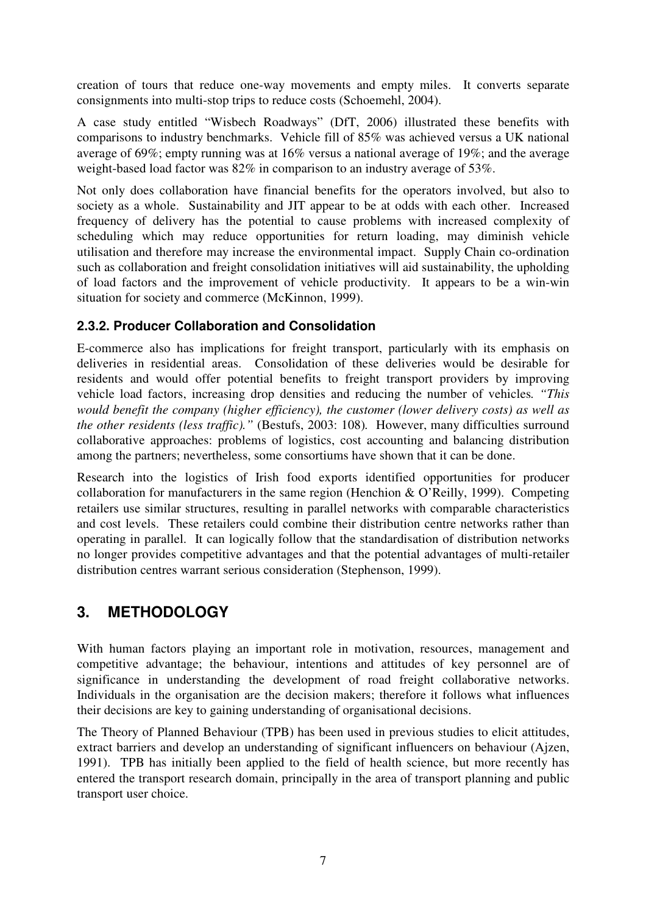creation of tours that reduce one-way movements and empty miles. It converts separate consignments into multi-stop trips to reduce costs (Schoemehl, 2004).

A case study entitled "Wisbech Roadways" (DfT, 2006) illustrated these benefits with comparisons to industry benchmarks. Vehicle fill of 85% was achieved versus a UK national average of 69%; empty running was at 16% versus a national average of 19%; and the average weight-based load factor was 82% in comparison to an industry average of 53%.

Not only does collaboration have financial benefits for the operators involved, but also to society as a whole. Sustainability and JIT appear to be at odds with each other. Increased frequency of delivery has the potential to cause problems with increased complexity of scheduling which may reduce opportunities for return loading, may diminish vehicle utilisation and therefore may increase the environmental impact. Supply Chain co-ordination such as collaboration and freight consolidation initiatives will aid sustainability, the upholding of load factors and the improvement of vehicle productivity. It appears to be a win-win situation for society and commerce (McKinnon, 1999).

### **2.3.2. Producer Collaboration and Consolidation**

E-commerce also has implications for freight transport, particularly with its emphasis on deliveries in residential areas. Consolidation of these deliveries would be desirable for residents and would offer potential benefits to freight transport providers by improving vehicle load factors, increasing drop densities and reducing the number of vehicles*. "This would benefit the company (higher efficiency), the customer (lower delivery costs) as well as the other residents (less traffic)."* (Bestufs, 2003: 108)*.* However, many difficulties surround collaborative approaches: problems of logistics, cost accounting and balancing distribution among the partners; nevertheless, some consortiums have shown that it can be done.

Research into the logistics of Irish food exports identified opportunities for producer collaboration for manufacturers in the same region (Henchion & O'Reilly, 1999). Competing retailers use similar structures, resulting in parallel networks with comparable characteristics and cost levels. These retailers could combine their distribution centre networks rather than operating in parallel. It can logically follow that the standardisation of distribution networks no longer provides competitive advantages and that the potential advantages of multi-retailer distribution centres warrant serious consideration (Stephenson, 1999).

### **3. METHODOLOGY**

With human factors playing an important role in motivation, resources, management and competitive advantage; the behaviour, intentions and attitudes of key personnel are of significance in understanding the development of road freight collaborative networks. Individuals in the organisation are the decision makers; therefore it follows what influences their decisions are key to gaining understanding of organisational decisions.

The Theory of Planned Behaviour (TPB) has been used in previous studies to elicit attitudes, extract barriers and develop an understanding of significant influencers on behaviour (Ajzen, 1991). TPB has initially been applied to the field of health science, but more recently has entered the transport research domain, principally in the area of transport planning and public transport user choice.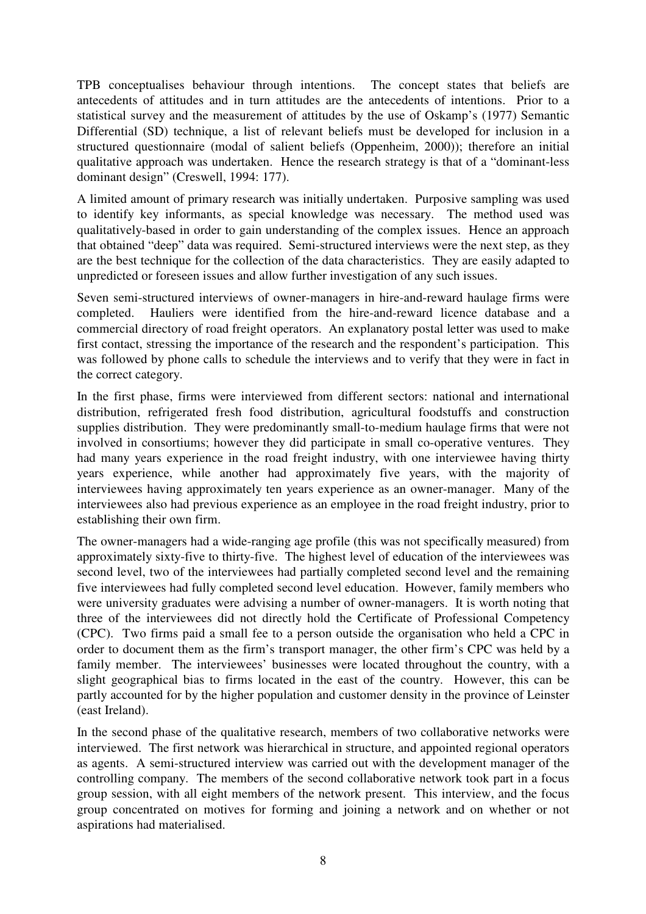TPB conceptualises behaviour through intentions. The concept states that beliefs are antecedents of attitudes and in turn attitudes are the antecedents of intentions. Prior to a statistical survey and the measurement of attitudes by the use of Oskamp's (1977) Semantic Differential (SD) technique, a list of relevant beliefs must be developed for inclusion in a structured questionnaire (modal of salient beliefs (Oppenheim, 2000)); therefore an initial qualitative approach was undertaken. Hence the research strategy is that of a "dominant-less dominant design" (Creswell, 1994: 177).

A limited amount of primary research was initially undertaken. Purposive sampling was used to identify key informants, as special knowledge was necessary. The method used was qualitatively-based in order to gain understanding of the complex issues. Hence an approach that obtained "deep" data was required. Semi-structured interviews were the next step, as they are the best technique for the collection of the data characteristics. They are easily adapted to unpredicted or foreseen issues and allow further investigation of any such issues.

Seven semi-structured interviews of owner-managers in hire-and-reward haulage firms were completed. Hauliers were identified from the hire-and-reward licence database and a commercial directory of road freight operators. An explanatory postal letter was used to make first contact, stressing the importance of the research and the respondent's participation. This was followed by phone calls to schedule the interviews and to verify that they were in fact in the correct category.

In the first phase, firms were interviewed from different sectors: national and international distribution, refrigerated fresh food distribution, agricultural foodstuffs and construction supplies distribution. They were predominantly small-to-medium haulage firms that were not involved in consortiums; however they did participate in small co-operative ventures. They had many years experience in the road freight industry, with one interviewee having thirty years experience, while another had approximately five years, with the majority of interviewees having approximately ten years experience as an owner-manager. Many of the interviewees also had previous experience as an employee in the road freight industry, prior to establishing their own firm.

The owner-managers had a wide-ranging age profile (this was not specifically measured) from approximately sixty-five to thirty-five. The highest level of education of the interviewees was second level, two of the interviewees had partially completed second level and the remaining five interviewees had fully completed second level education. However, family members who were university graduates were advising a number of owner-managers. It is worth noting that three of the interviewees did not directly hold the Certificate of Professional Competency (CPC). Two firms paid a small fee to a person outside the organisation who held a CPC in order to document them as the firm's transport manager, the other firm's CPC was held by a family member. The interviewees' businesses were located throughout the country, with a slight geographical bias to firms located in the east of the country. However, this can be partly accounted for by the higher population and customer density in the province of Leinster (east Ireland).

In the second phase of the qualitative research, members of two collaborative networks were interviewed. The first network was hierarchical in structure, and appointed regional operators as agents. A semi-structured interview was carried out with the development manager of the controlling company. The members of the second collaborative network took part in a focus group session, with all eight members of the network present. This interview, and the focus group concentrated on motives for forming and joining a network and on whether or not aspirations had materialised.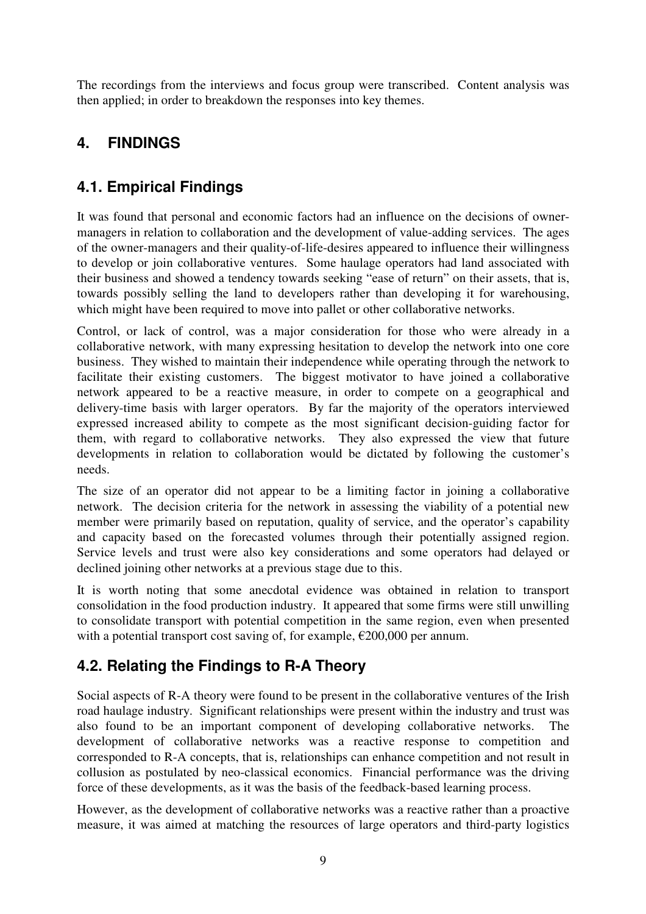The recordings from the interviews and focus group were transcribed. Content analysis was then applied; in order to breakdown the responses into key themes.

## **4. FINDINGS**

### **4.1. Empirical Findings**

It was found that personal and economic factors had an influence on the decisions of ownermanagers in relation to collaboration and the development of value-adding services. The ages of the owner-managers and their quality-of-life-desires appeared to influence their willingness to develop or join collaborative ventures. Some haulage operators had land associated with their business and showed a tendency towards seeking "ease of return" on their assets, that is, towards possibly selling the land to developers rather than developing it for warehousing, which might have been required to move into pallet or other collaborative networks.

Control, or lack of control, was a major consideration for those who were already in a collaborative network, with many expressing hesitation to develop the network into one core business. They wished to maintain their independence while operating through the network to facilitate their existing customers. The biggest motivator to have joined a collaborative network appeared to be a reactive measure, in order to compete on a geographical and delivery-time basis with larger operators. By far the majority of the operators interviewed expressed increased ability to compete as the most significant decision-guiding factor for them, with regard to collaborative networks. They also expressed the view that future developments in relation to collaboration would be dictated by following the customer's needs.

The size of an operator did not appear to be a limiting factor in joining a collaborative network. The decision criteria for the network in assessing the viability of a potential new member were primarily based on reputation, quality of service, and the operator's capability and capacity based on the forecasted volumes through their potentially assigned region. Service levels and trust were also key considerations and some operators had delayed or declined joining other networks at a previous stage due to this.

It is worth noting that some anecdotal evidence was obtained in relation to transport consolidation in the food production industry. It appeared that some firms were still unwilling to consolidate transport with potential competition in the same region, even when presented with a potential transport cost saving of, for example,  $\epsilon$ 200,000 per annum.

### **4.2. Relating the Findings to R-A Theory**

Social aspects of R-A theory were found to be present in the collaborative ventures of the Irish road haulage industry. Significant relationships were present within the industry and trust was also found to be an important component of developing collaborative networks. The development of collaborative networks was a reactive response to competition and corresponded to R-A concepts, that is, relationships can enhance competition and not result in collusion as postulated by neo-classical economics. Financial performance was the driving force of these developments, as it was the basis of the feedback-based learning process.

However, as the development of collaborative networks was a reactive rather than a proactive measure, it was aimed at matching the resources of large operators and third-party logistics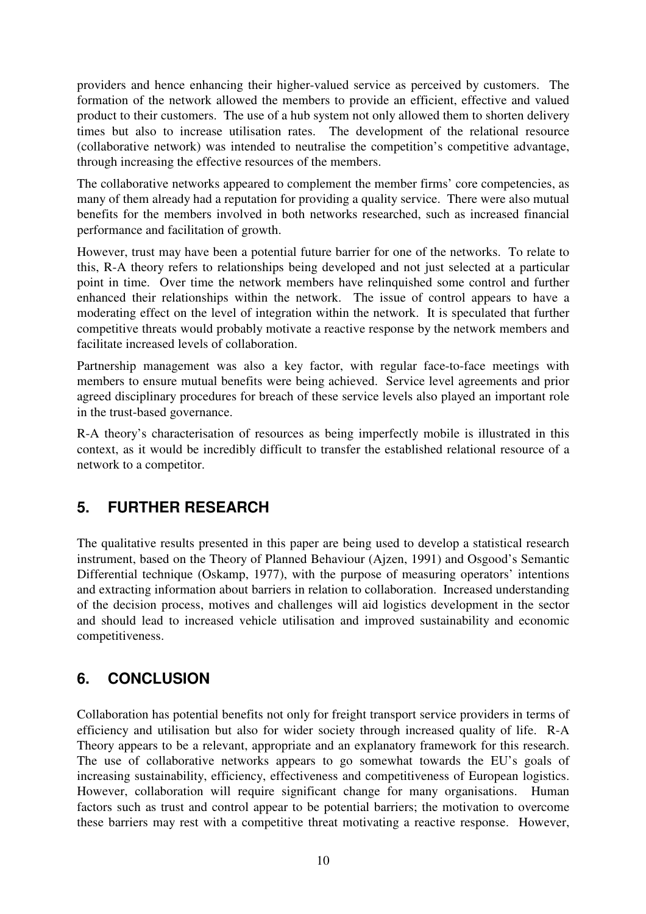providers and hence enhancing their higher-valued service as perceived by customers. The formation of the network allowed the members to provide an efficient, effective and valued product to their customers. The use of a hub system not only allowed them to shorten delivery times but also to increase utilisation rates. The development of the relational resource (collaborative network) was intended to neutralise the competition's competitive advantage, through increasing the effective resources of the members.

The collaborative networks appeared to complement the member firms' core competencies, as many of them already had a reputation for providing a quality service. There were also mutual benefits for the members involved in both networks researched, such as increased financial performance and facilitation of growth.

However, trust may have been a potential future barrier for one of the networks. To relate to this, R-A theory refers to relationships being developed and not just selected at a particular point in time. Over time the network members have relinquished some control and further enhanced their relationships within the network. The issue of control appears to have a moderating effect on the level of integration within the network. It is speculated that further competitive threats would probably motivate a reactive response by the network members and facilitate increased levels of collaboration.

Partnership management was also a key factor, with regular face-to-face meetings with members to ensure mutual benefits were being achieved. Service level agreements and prior agreed disciplinary procedures for breach of these service levels also played an important role in the trust-based governance.

R-A theory's characterisation of resources as being imperfectly mobile is illustrated in this context, as it would be incredibly difficult to transfer the established relational resource of a network to a competitor.

### **5. FURTHER RESEARCH**

The qualitative results presented in this paper are being used to develop a statistical research instrument, based on the Theory of Planned Behaviour (Ajzen, 1991) and Osgood's Semantic Differential technique (Oskamp, 1977), with the purpose of measuring operators' intentions and extracting information about barriers in relation to collaboration. Increased understanding of the decision process, motives and challenges will aid logistics development in the sector and should lead to increased vehicle utilisation and improved sustainability and economic competitiveness.

### **6. CONCLUSION**

Collaboration has potential benefits not only for freight transport service providers in terms of efficiency and utilisation but also for wider society through increased quality of life. R-A Theory appears to be a relevant, appropriate and an explanatory framework for this research. The use of collaborative networks appears to go somewhat towards the EU's goals of increasing sustainability, efficiency, effectiveness and competitiveness of European logistics. However, collaboration will require significant change for many organisations. Human factors such as trust and control appear to be potential barriers; the motivation to overcome these barriers may rest with a competitive threat motivating a reactive response. However,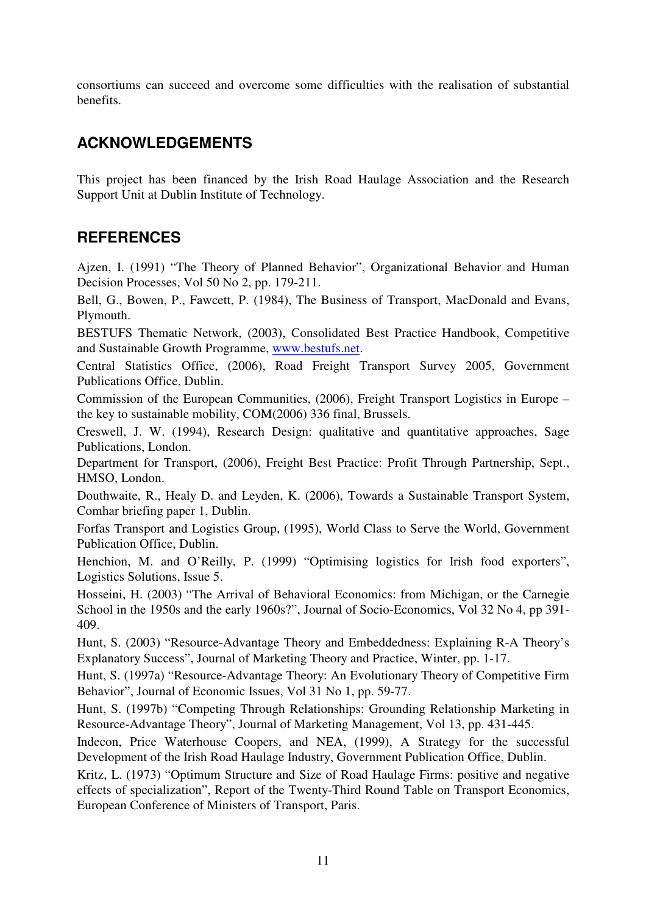consortiums can succeed and overcome some difficulties with the realisation of substantial benefits.

### **ACKNOWLEDGEMENTS**

This project has been financed by the Irish Road Haulage Association and the Research Support Unit at Dublin Institute of Technology.

### **REFERENCES**

Ajzen, I. (1991) "The Theory of Planned Behavior", Organizational Behavior and Human Decision Processes, Vol 50 No 2, pp. 179-211.

Bell, G., Bowen, P., Fawcett, P. (1984), The Business of Transport, MacDonald and Evans, Plymouth.

BESTUFS Thematic Network, (2003), Consolidated Best Practice Handbook, Competitive and Sustainable Growth Programme, www.bestufs.net.

Central Statistics Office, (2006), Road Freight Transport Survey 2005, Government Publications Office, Dublin.

Commission of the European Communities, (2006), Freight Transport Logistics in Europe – the key to sustainable mobility, COM(2006) 336 final, Brussels.

Creswell, J. W. (1994), Research Design: qualitative and quantitative approaches, Sage Publications, London.

Department for Transport, (2006), Freight Best Practice: Profit Through Partnership, Sept., HMSO, London.

Douthwaite, R., Healy D. and Leyden, K. (2006), Towards a Sustainable Transport System, Comhar briefing paper 1, Dublin.

Forfas Transport and Logistics Group, (1995), World Class to Serve the World, Government Publication Office, Dublin.

Henchion, M. and O'Reilly, P. (1999) "Optimising logistics for Irish food exporters", Logistics Solutions, Issue 5.

Hosseini, H. (2003) "The Arrival of Behavioral Economics: from Michigan, or the Carnegie School in the 1950s and the early 1960s?", Journal of Socio-Economics, Vol 32 No 4, pp 391- 409.

Hunt, S. (2003) "Resource-Advantage Theory and Embeddedness: Explaining R-A Theory's Explanatory Success", Journal of Marketing Theory and Practice, Winter, pp. 1-17.

Hunt, S. (1997a) "Resource-Advantage Theory: An Evolutionary Theory of Competitive Firm Behavior", Journal of Economic Issues, Vol 31 No 1, pp. 59-77.

Hunt, S. (1997b) "Competing Through Relationships: Grounding Relationship Marketing in Resource-Advantage Theory", Journal of Marketing Management, Vol 13, pp. 431-445.

Indecon, Price Waterhouse Coopers, and NEA, (1999), A Strategy for the successful Development of the Irish Road Haulage Industry, Government Publication Office, Dublin.

Kritz, L. (1973) "Optimum Structure and Size of Road Haulage Firms: positive and negative effects of specialization", Report of the Twenty-Third Round Table on Transport Economics, European Conference of Ministers of Transport, Paris.